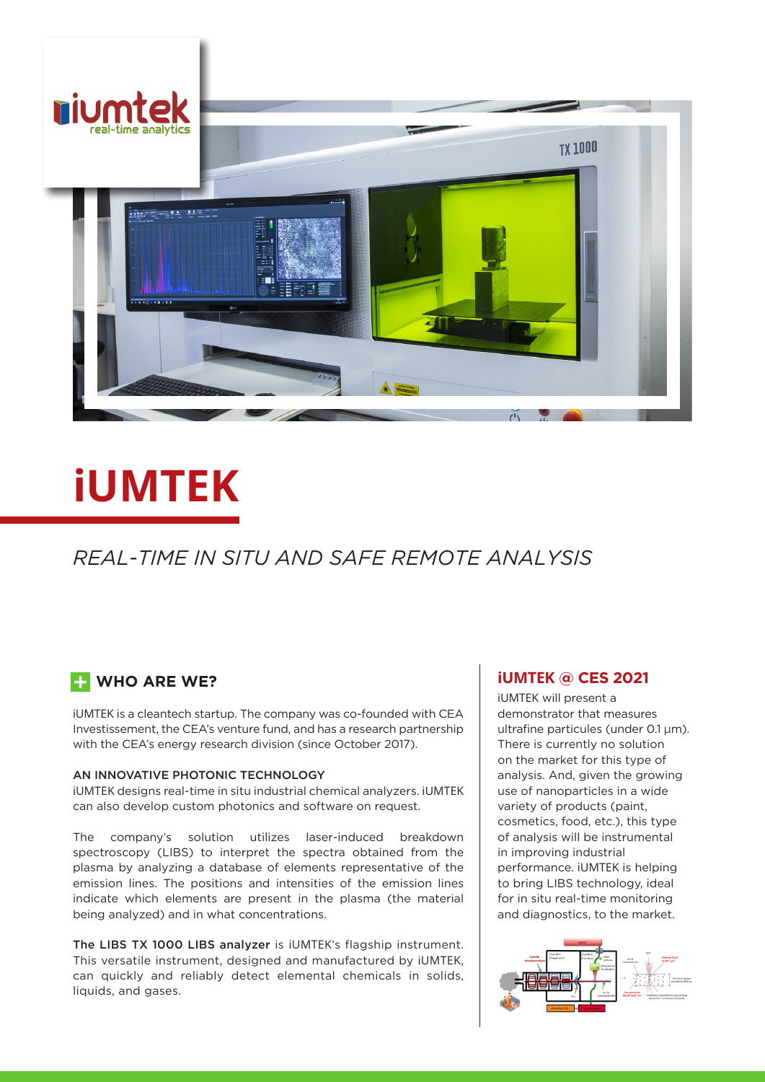

# **iUMTEK**

## *REAL-TIME IN SITU AND SAFE REMOTE ANALYSIS*

### **E-** WHO ARE WE?

iUMTEK is a cleantech startup. The company was co-founded with CEA Investissement, the CEA's venture fund, and has a research partnership with the CEA's energy research division (since October 2017).

#### AN INNOVATIVE PHOTONIC TECHNOLOGY

iUMTEK designs real-time in situ industrial chemical analyzers. iUMTEK can also develop custom photonics and software on request.

The company's solution utilizes laser-induced breakdown spectroscopy (LIBS) to interpret the spectra obtained from the plasma by analyzing a database of elements representative of the emission lines. The positions and intensities of the emission lines indicate which elements are present in the plasma (the material being analyzed) and in what concentrations.

The LIBS TX 1000 LIBS analyzer is iUMTEK's flagship instrument. This versatile instrument, designed and manufactured by iUMTEK, can quickly and reliably detect elemental chemicals in solids, liquids, and gases.

#### **iUMTEK @ CES 2021**

iUMTEK will present a demonstrator that measures ultrafine particules (under 0.1 µm). There is currently no solution on the market for this type of analysis. And, given the growing use of nanoparticles in a wide variety of products (paint, cosmetics, food, etc.), this type of analysis will be instrumental in improving industrial performance. iUMTEK is helping to bring LIBS technology, ideal for in situ real-time monitoring and diagnostics, to the market.